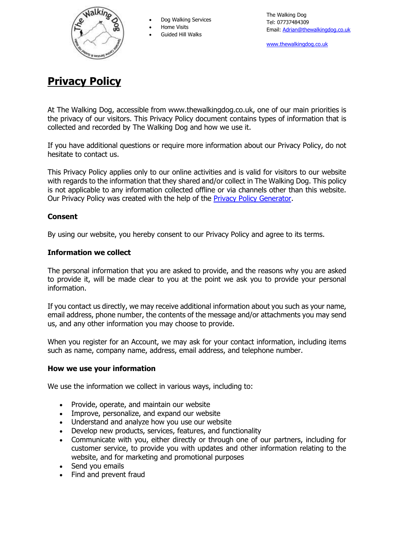

Dog Walking Services

Home Visits

Guided Hill Walks

[www.thewalkingdog.co.uk](http://www.thewalkingdog.co.uk/)

# **Privacy Policy**

At The Walking Dog, accessible from www.thewalkingdog.co.uk, one of our main priorities is the privacy of our visitors. This Privacy Policy document contains types of information that is collected and recorded by The Walking Dog and how we use it.

If you have additional questions or require more information about our Privacy Policy, do not hesitate to contact us.

This Privacy Policy applies only to our online activities and is valid for visitors to our website with regards to the information that they shared and/or collect in The Walking Dog. This policy is not applicable to any information collected offline or via channels other than this website. Our Privacy Policy was created with the help of the [Privacy Policy Generator.](https://www.privacypolicygenerator.info/)

## **Consent**

By using our website, you hereby consent to our Privacy Policy and agree to its terms.

#### **Information we collect**

The personal information that you are asked to provide, and the reasons why you are asked to provide it, will be made clear to you at the point we ask you to provide your personal information.

If you contact us directly, we may receive additional information about you such as your name, email address, phone number, the contents of the message and/or attachments you may send us, and any other information you may choose to provide.

When you register for an Account, we may ask for your contact information, including items such as name, company name, address, email address, and telephone number.

## **How we use your information**

We use the information we collect in various ways, including to:

- Provide, operate, and maintain our website
- Improve, personalize, and expand our website
- Understand and analyze how you use our website
- Develop new products, services, features, and functionality
- Communicate with you, either directly or through one of our partners, including for customer service, to provide you with updates and other information relating to the website, and for marketing and promotional purposes
- Send you emails
- Find and prevent fraud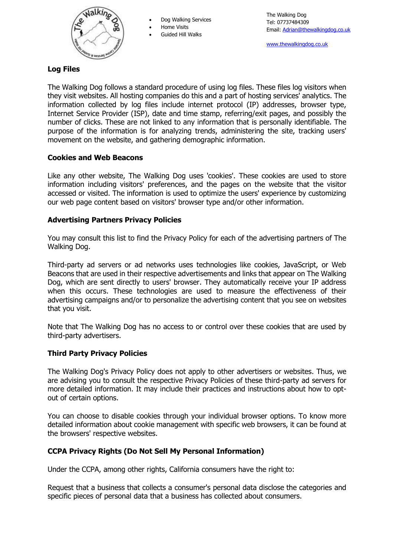

Dog Walking Services

Home Visits

Guided Hill Walks

[www.thewalkingdog.co.uk](http://www.thewalkingdog.co.uk/)

## **Log Files**

The Walking Dog follows a standard procedure of using log files. These files log visitors when they visit websites. All hosting companies do this and a part of hosting services' analytics. The information collected by log files include internet protocol (IP) addresses, browser type, Internet Service Provider (ISP), date and time stamp, referring/exit pages, and possibly the number of clicks. These are not linked to any information that is personally identifiable. The purpose of the information is for analyzing trends, administering the site, tracking users' movement on the website, and gathering demographic information.

## **Cookies and Web Beacons**

Like any other website, The Walking Dog uses 'cookies'. These cookies are used to store information including visitors' preferences, and the pages on the website that the visitor accessed or visited. The information is used to optimize the users' experience by customizing our web page content based on visitors' browser type and/or other information.

## **Advertising Partners Privacy Policies**

You may consult this list to find the Privacy Policy for each of the advertising partners of The Walking Dog.

Third-party ad servers or ad networks uses technologies like cookies, JavaScript, or Web Beacons that are used in their respective advertisements and links that appear on The Walking Dog, which are sent directly to users' browser. They automatically receive your IP address when this occurs. These technologies are used to measure the effectiveness of their advertising campaigns and/or to personalize the advertising content that you see on websites that you visit.

Note that The Walking Dog has no access to or control over these cookies that are used by third-party advertisers.

## **Third Party Privacy Policies**

The Walking Dog's Privacy Policy does not apply to other advertisers or websites. Thus, we are advising you to consult the respective Privacy Policies of these third-party ad servers for more detailed information. It may include their practices and instructions about how to optout of certain options.

You can choose to disable cookies through your individual browser options. To know more detailed information about cookie management with specific web browsers, it can be found at the browsers' respective websites.

#### **CCPA Privacy Rights (Do Not Sell My Personal Information)**

Under the CCPA, among other rights, California consumers have the right to:

Request that a business that collects a consumer's personal data disclose the categories and specific pieces of personal data that a business has collected about consumers.